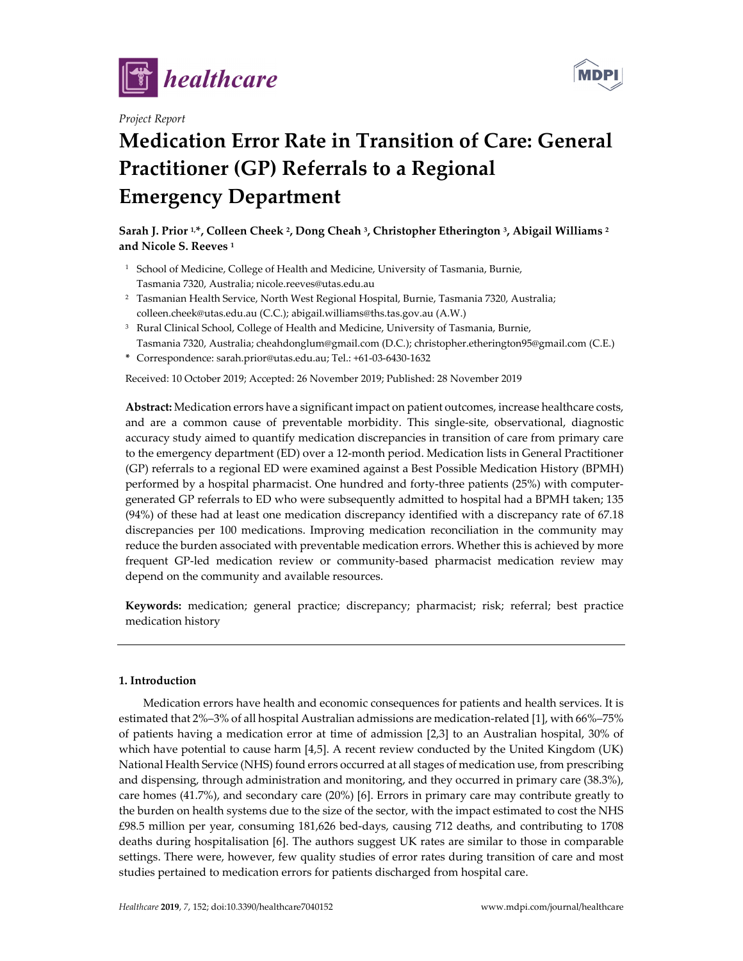



MDF

# *Project Report*

# **Medication Error Rate in Transition of Care: General Practitioner (GP) Referrals to a Regional Emergency Department**

**Sarah J. Prior 1,\*, Colleen Cheek 2, Dong Cheah 3, Christopher Etherington 3, Abigail Williams 2 and Nicole S. Reeves 1** 

- $1$  School of Medicine, College of Health and Medicine, University of Tasmania, Burnie, Tasmania 7320, Australia; nicole.reeves@utas.edu.au
- 2 Tasmanian Health Service, North West Regional Hospital, Burnie, Tasmania 7320, Australia; colleen.cheek@utas.edu.au (C.C.); abigail.williams@ths.tas.gov.au (A.W.)
- <sup>3</sup> Rural Clinical School, College of Health and Medicine, University of Tasmania, Burnie, Tasmania 7320, Australia; cheahdonglum@gmail.com (D.C.); christopher.etherington95@gmail.com (C.E.)
- **\*** Correspondence: sarah.prior@utas.edu.au; Tel.: +61-03-6430-1632

Received: 10 October 2019; Accepted: 26 November 2019; Published: 28 November 2019

**Abstract:** Medication errors have a significant impact on patient outcomes, increase healthcare costs, and are a common cause of preventable morbidity. This single-site, observational, diagnostic accuracy study aimed to quantify medication discrepancies in transition of care from primary care to the emergency department (ED) over a 12-month period. Medication lists in General Practitioner (GP) referrals to a regional ED were examined against a Best Possible Medication History (BPMH) performed by a hospital pharmacist. One hundred and forty-three patients (25%) with computergenerated GP referrals to ED who were subsequently admitted to hospital had a BPMH taken; 135 (94%) of these had at least one medication discrepancy identified with a discrepancy rate of 67.18 discrepancies per 100 medications. Improving medication reconciliation in the community may reduce the burden associated with preventable medication errors. Whether this is achieved by more frequent GP-led medication review or community-based pharmacist medication review may depend on the community and available resources.

**Keywords:** medication; general practice; discrepancy; pharmacist; risk; referral; best practice medication history

# **1. Introduction**

Medication errors have health and economic consequences for patients and health services. It is estimated that 2%–3% of all hospital Australian admissions are medication-related [1], with 66%–75% of patients having a medication error at time of admission [2,3] to an Australian hospital, 30% of which have potential to cause harm [4,5]. A recent review conducted by the United Kingdom (UK) National Health Service (NHS) found errors occurred at all stages of medication use, from prescribing and dispensing, through administration and monitoring, and they occurred in primary care (38.3%), care homes (41.7%), and secondary care (20%) [6]. Errors in primary care may contribute greatly to the burden on health systems due to the size of the sector, with the impact estimated to cost the NHS £98.5 million per year, consuming 181,626 bed-days, causing 712 deaths, and contributing to 1708 deaths during hospitalisation [6]. The authors suggest UK rates are similar to those in comparable settings. There were, however, few quality studies of error rates during transition of care and most studies pertained to medication errors for patients discharged from hospital care.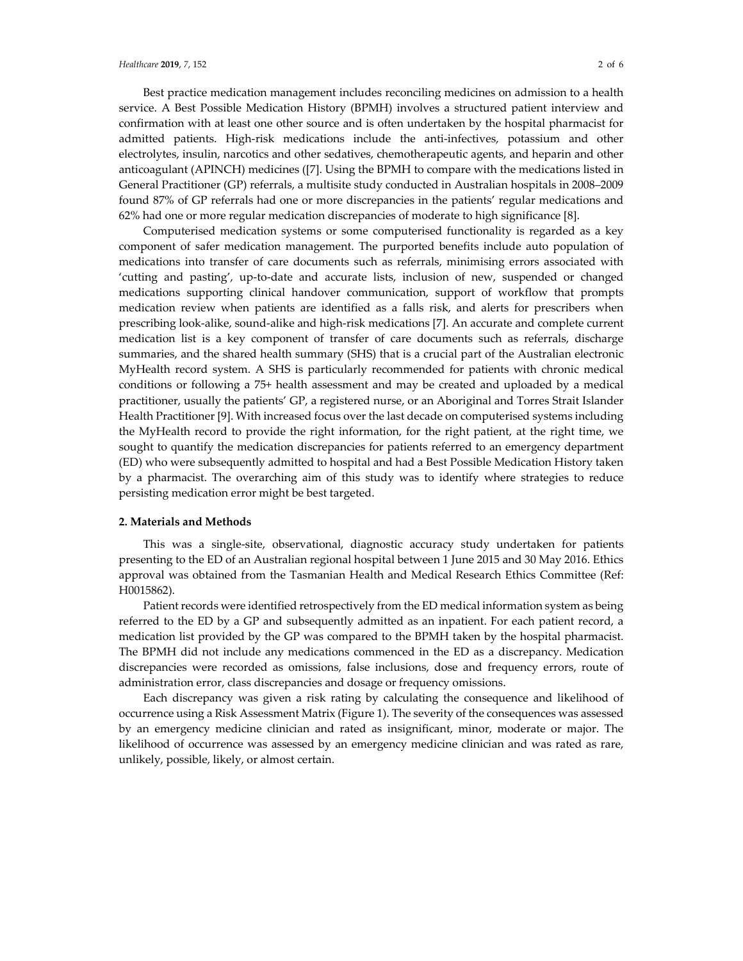Best practice medication management includes reconciling medicines on admission to a health service. A Best Possible Medication History (BPMH) involves a structured patient interview and confirmation with at least one other source and is often undertaken by the hospital pharmacist for admitted patients. High-risk medications include the anti-infectives, potassium and other electrolytes, insulin, narcotics and other sedatives, chemotherapeutic agents, and heparin and other anticoagulant (APINCH) medicines ([7]. Using the BPMH to compare with the medications listed in General Practitioner (GP) referrals, a multisite study conducted in Australian hospitals in 2008–2009 found 87% of GP referrals had one or more discrepancies in the patients' regular medications and 62% had one or more regular medication discrepancies of moderate to high significance [8].

Computerised medication systems or some computerised functionality is regarded as a key component of safer medication management. The purported benefits include auto population of medications into transfer of care documents such as referrals, minimising errors associated with 'cutting and pasting', up-to-date and accurate lists, inclusion of new, suspended or changed medications supporting clinical handover communication, support of workflow that prompts medication review when patients are identified as a falls risk, and alerts for prescribers when prescribing look-alike, sound-alike and high-risk medications [7]. An accurate and complete current medication list is a key component of transfer of care documents such as referrals, discharge summaries, and the shared health summary (SHS) that is a crucial part of the Australian electronic MyHealth record system. A SHS is particularly recommended for patients with chronic medical conditions or following a 75+ health assessment and may be created and uploaded by a medical practitioner, usually the patients' GP, a registered nurse, or an Aboriginal and Torres Strait Islander Health Practitioner [9]. With increased focus over the last decade on computerised systems including the MyHealth record to provide the right information, for the right patient, at the right time, we sought to quantify the medication discrepancies for patients referred to an emergency department (ED) who were subsequently admitted to hospital and had a Best Possible Medication History taken by a pharmacist. The overarching aim of this study was to identify where strategies to reduce persisting medication error might be best targeted.

## **2. Materials and Methods**

This was a single-site, observational, diagnostic accuracy study undertaken for patients presenting to the ED of an Australian regional hospital between 1 June 2015 and 30 May 2016. Ethics approval was obtained from the Tasmanian Health and Medical Research Ethics Committee (Ref: H0015862).

Patient records were identified retrospectively from the ED medical information system as being referred to the ED by a GP and subsequently admitted as an inpatient. For each patient record, a medication list provided by the GP was compared to the BPMH taken by the hospital pharmacist. The BPMH did not include any medications commenced in the ED as a discrepancy. Medication discrepancies were recorded as omissions, false inclusions, dose and frequency errors, route of administration error, class discrepancies and dosage or frequency omissions.

Each discrepancy was given a risk rating by calculating the consequence and likelihood of occurrence using a Risk Assessment Matrix (Figure 1). The severity of the consequences was assessed by an emergency medicine clinician and rated as insignificant, minor, moderate or major. The likelihood of occurrence was assessed by an emergency medicine clinician and was rated as rare, unlikely, possible, likely, or almost certain.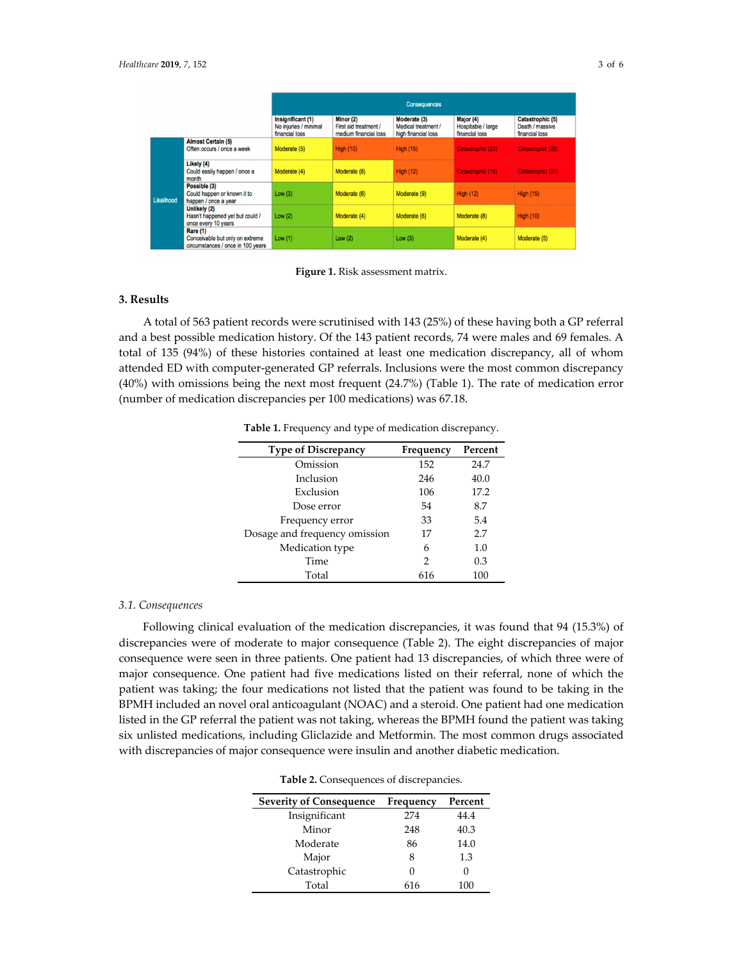|            |                                                                                  | <b>Consequences</b>                                          |                                                             |                                                            |                                                   |                                                              |
|------------|----------------------------------------------------------------------------------|--------------------------------------------------------------|-------------------------------------------------------------|------------------------------------------------------------|---------------------------------------------------|--------------------------------------------------------------|
|            |                                                                                  | Insignificant (1)<br>No injuries / minimal<br>financial loss | Minor (2)<br>First aid treatment /<br>medium financial loss | Moderate (3)<br>Medical treatment /<br>high financial loss | Major (4)<br>Hospitable / large<br>financial loss | <b>Catastrophic (5)</b><br>Death / massive<br>financial loss |
| Likelihood | <b>Almost Certain (5)</b><br>Often occurs / once a week                          | Moderate (5)                                                 | <b>High (10)</b>                                            | <b>High (15)</b>                                           | Catastrophic (20)                                 | Catastrophic (25)                                            |
|            | Likely (4)<br>Could easily happen / once a<br>month                              | Moderate (4)                                                 | Moderate (8)                                                | <b>High (12)</b>                                           | Catastrophic (16)                                 | Catastrophic (20)                                            |
|            | Possible (3)<br>Could happen or known it to<br>happen / once a year              | Low(3)                                                       | Moderate (6)                                                | Moderate (9)                                               | <b>High (12)</b>                                  | <b>High (15)</b>                                             |
|            | Unlikely (2)<br>Hasn't happened yet but could /<br>once every 10 years           | Low(2)                                                       | Moderate (4)                                                | Moderate (6)                                               | Moderate (8)                                      | <b>High (10)</b>                                             |
|            | Rare (1)<br>Conceivable but only on extreme<br>circumstances / once in 100 years | Low(1)                                                       | Low(2)                                                      | Low $(3)$                                                  | Moderate (4)                                      | Moderate (5)                                                 |

**Figure 1.** Risk assessment matrix.

### **3. Results**

A total of 563 patient records were scrutinised with 143 (25%) of these having both a GP referral and a best possible medication history. Of the 143 patient records, 74 were males and 69 females. A total of 135 (94%) of these histories contained at least one medication discrepancy, all of whom attended ED with computer-generated GP referrals. Inclusions were the most common discrepancy (40%) with omissions being the next most frequent (24.7%) (Table 1). The rate of medication error (number of medication discrepancies per 100 medications) was 67.18.

**Table 1.** Frequency and type of medication discrepancy.

| <b>Type of Discrepancy</b>    | Frequency     | Percent |  |
|-------------------------------|---------------|---------|--|
| Omission                      | 152           | 24.7    |  |
| Inclusion                     | 246           | 40.0    |  |
| Exclusion                     | 106           | 17.2    |  |
| Dose error                    | 54            | 8.7     |  |
| Frequency error               | 33            | 5.4     |  |
| Dosage and frequency omission | 17            | 2.7     |  |
| Medication type               | 6             | 1.0     |  |
| Time                          | $\mathcal{D}$ | 0.3     |  |
| Total                         | 616           | 100     |  |

#### *3.1. Consequences*

Following clinical evaluation of the medication discrepancies, it was found that 94 (15.3%) of discrepancies were of moderate to major consequence (Table 2). The eight discrepancies of major consequence were seen in three patients. One patient had 13 discrepancies, of which three were of major consequence. One patient had five medications listed on their referral, none of which the patient was taking; the four medications not listed that the patient was found to be taking in the BPMH included an novel oral anticoagulant (NOAC) and a steroid. One patient had one medication listed in the GP referral the patient was not taking, whereas the BPMH found the patient was taking six unlisted medications, including Gliclazide and Metformin. The most common drugs associated with discrepancies of major consequence were insulin and another diabetic medication.

| <b>Table 2.</b> Consequences of discrepancies. |  |
|------------------------------------------------|--|
|------------------------------------------------|--|

| <b>Severity of Consequence</b> | Frequency | Percent |
|--------------------------------|-----------|---------|
| Insignificant                  | 274       | 44.4    |
| Minor                          | 248       | 40.3    |
| Moderate                       | 86        | 14.0    |
| Major                          | 8         | 1.3     |
| Catastrophic                   |           | 0       |
| Total                          | 616       | 100     |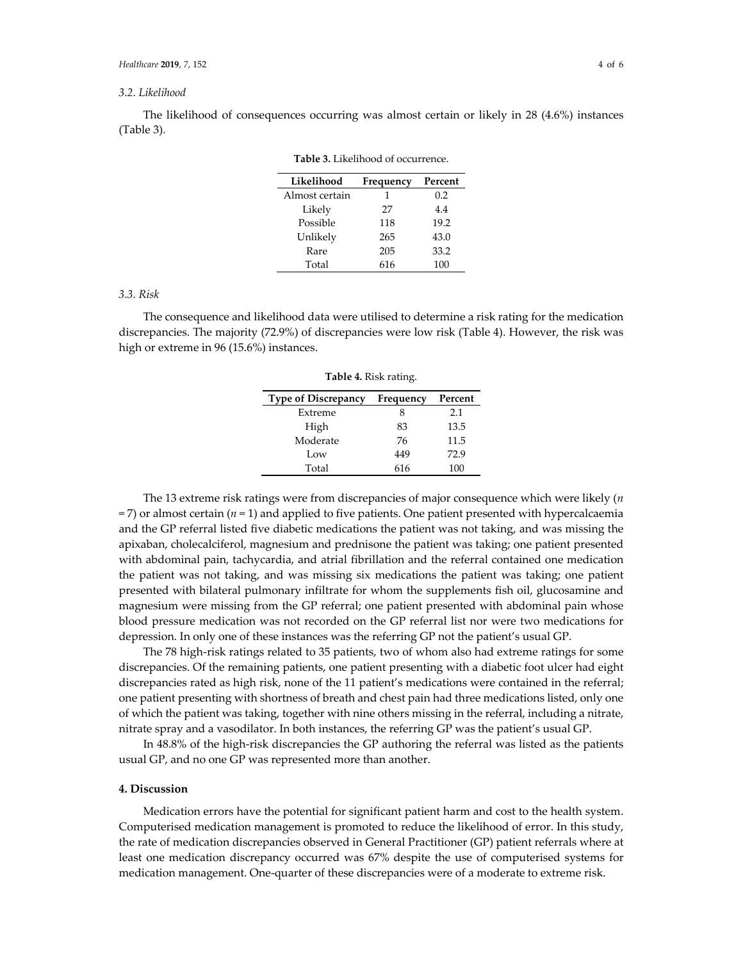#### *3.2. Likelihood*

The likelihood of consequences occurring was almost certain or likely in 28 (4.6%) instances (Table 3).

| Likelihood     | Frequency | Percent |
|----------------|-----------|---------|
| Almost certain | 1         | 0.2     |
| Likely         | 27        | 44      |
| Possible       | 118       | 19.2    |
| Unlikely       | 265       | 43.0    |
| Rare           | 205       | 33.2    |
| Total          | 616       | 100     |

**Table 3.** Likelihood of occurrence.

#### *3.3. Risk*

The consequence and likelihood data were utilised to determine a risk rating for the medication discrepancies. The majority (72.9%) of discrepancies were low risk (Table 4). However, the risk was high or extreme in 96 (15.6%) instances.

**Table 4.** Risk rating.

**Type of Discrepancy Frequency Percent**  Extreme 8 2.1 High 83 13.5 Moderate 76 11.5 Low 449 72.9 Total 616 100

The 13 extreme risk ratings were from discrepancies of major consequence which were likely (*n*  $=$  7) or almost certain ( $n = 1$ ) and applied to five patients. One patient presented with hypercalcaemia and the GP referral listed five diabetic medications the patient was not taking, and was missing the apixaban, cholecalciferol, magnesium and prednisone the patient was taking; one patient presented with abdominal pain, tachycardia, and atrial fibrillation and the referral contained one medication the patient was not taking, and was missing six medications the patient was taking; one patient presented with bilateral pulmonary infiltrate for whom the supplements fish oil, glucosamine and magnesium were missing from the GP referral; one patient presented with abdominal pain whose blood pressure medication was not recorded on the GP referral list nor were two medications for depression. In only one of these instances was the referring GP not the patient's usual GP.

The 78 high-risk ratings related to 35 patients, two of whom also had extreme ratings for some discrepancies. Of the remaining patients, one patient presenting with a diabetic foot ulcer had eight discrepancies rated as high risk, none of the 11 patient's medications were contained in the referral; one patient presenting with shortness of breath and chest pain had three medications listed, only one of which the patient was taking, together with nine others missing in the referral, including a nitrate, nitrate spray and a vasodilator. In both instances, the referring GP was the patient's usual GP.

In 48.8% of the high-risk discrepancies the GP authoring the referral was listed as the patients usual GP, and no one GP was represented more than another.

## **4. Discussion**

Medication errors have the potential for significant patient harm and cost to the health system. Computerised medication management is promoted to reduce the likelihood of error. In this study, the rate of medication discrepancies observed in General Practitioner (GP) patient referrals where at least one medication discrepancy occurred was 67% despite the use of computerised systems for medication management. One-quarter of these discrepancies were of a moderate to extreme risk.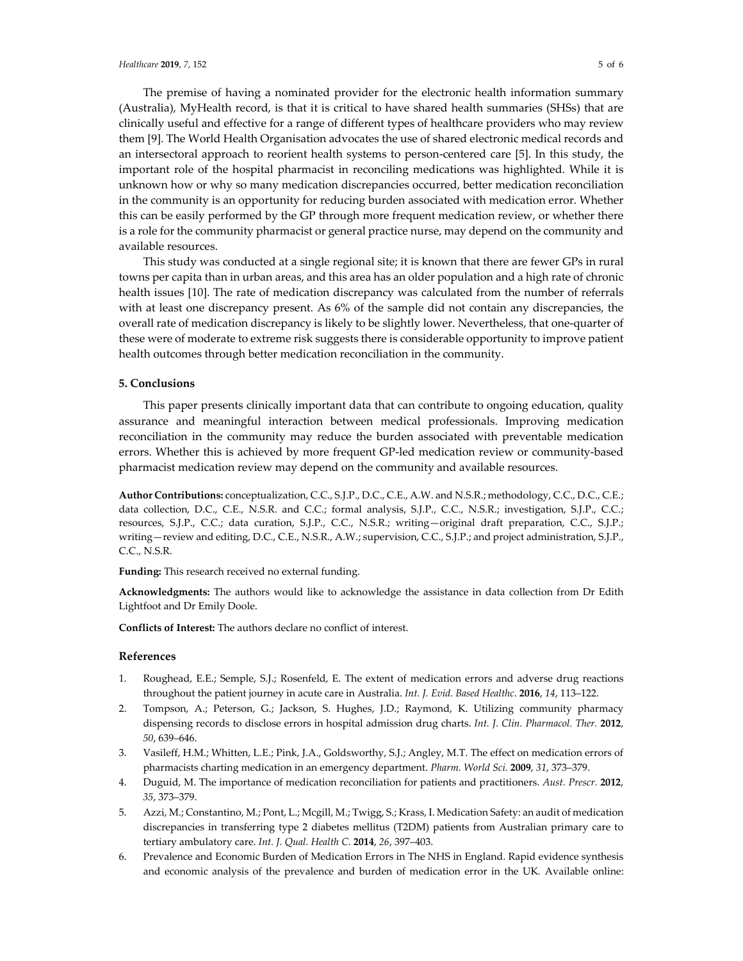The premise of having a nominated provider for the electronic health information summary (Australia), MyHealth record, is that it is critical to have shared health summaries (SHSs) that are clinically useful and effective for a range of different types of healthcare providers who may review them [9]. The World Health Organisation advocates the use of shared electronic medical records and an intersectoral approach to reorient health systems to person-centered care [5]. In this study, the important role of the hospital pharmacist in reconciling medications was highlighted. While it is unknown how or why so many medication discrepancies occurred, better medication reconciliation in the community is an opportunity for reducing burden associated with medication error. Whether this can be easily performed by the GP through more frequent medication review, or whether there is a role for the community pharmacist or general practice nurse, may depend on the community and available resources.

This study was conducted at a single regional site; it is known that there are fewer GPs in rural towns per capita than in urban areas, and this area has an older population and a high rate of chronic health issues [10]. The rate of medication discrepancy was calculated from the number of referrals with at least one discrepancy present. As 6% of the sample did not contain any discrepancies, the overall rate of medication discrepancy is likely to be slightly lower. Nevertheless, that one-quarter of these were of moderate to extreme risk suggests there is considerable opportunity to improve patient health outcomes through better medication reconciliation in the community.

#### **5. Conclusions**

This paper presents clinically important data that can contribute to ongoing education, quality assurance and meaningful interaction between medical professionals. Improving medication reconciliation in the community may reduce the burden associated with preventable medication errors. Whether this is achieved by more frequent GP-led medication review or community-based pharmacist medication review may depend on the community and available resources.

**Author Contributions:** conceptualization, C.C., S.J.P., D.C., C.E., A.W. and N.S.R.; methodology, C.C., D.C., C.E.; data collection, D.C., C.E., N.S.R. and C.C.; formal analysis, S.J.P., C.C., N.S.R.; investigation, S.J.P., C.C.; resources, S.J.P., C.C.; data curation, S.J.P., C.C., N.S.R.; writing—original draft preparation, C.C., S.J.P.; writing—review and editing, D.C., C.E., N.S.R., A.W.; supervision, C.C., S.J.P.; and project administration, S.J.P., C.C., N.S.R.

**Funding:** This research received no external funding.

**Acknowledgments:** The authors would like to acknowledge the assistance in data collection from Dr Edith Lightfoot and Dr Emily Doole.

**Conflicts of Interest:** The authors declare no conflict of interest.

#### **References**

- 1. Roughead, E.E.; Semple, S.J.; Rosenfeld, E. The extent of medication errors and adverse drug reactions throughout the patient journey in acute care in Australia. *Int. J. Evid. Based Healthc*. **2016**, *14*, 113–122.
- 2. Tompson, A.; Peterson, G.; Jackson, S. Hughes, J.D.; Raymond, K. Utilizing community pharmacy dispensing records to disclose errors in hospital admission drug charts. *Int. J. Clin. Pharmacol. Ther.* **2012**, *50*, 639–646.
- 3. Vasileff, H.M.; Whitten, L.E.; Pink, J.A., Goldsworthy, S.J.; Angley, M.T. The effect on medication errors of pharmacists charting medication in an emergency department. *Pharm. World Sci.* **2009**, *31*, 373–379.
- 4. Duguid, M. The importance of medication reconciliation for patients and practitioners. *Aust. Prescr.* **2012**, *35*, 373–379.
- 5. Azzi, M.; Constantino, M.; Pont, L.; Mcgill, M.; Twigg, S.; Krass, I. Medication Safety: an audit of medication discrepancies in transferring type 2 diabetes mellitus (T2DM) patients from Australian primary care to tertiary ambulatory care. *Int. J. Qual. Health C.* **2014**, *26*, 397–403.
- 6. Prevalence and Economic Burden of Medication Errors in The NHS in England. Rapid evidence synthesis and economic analysis of the prevalence and burden of medication error in the UK*.* Available online: